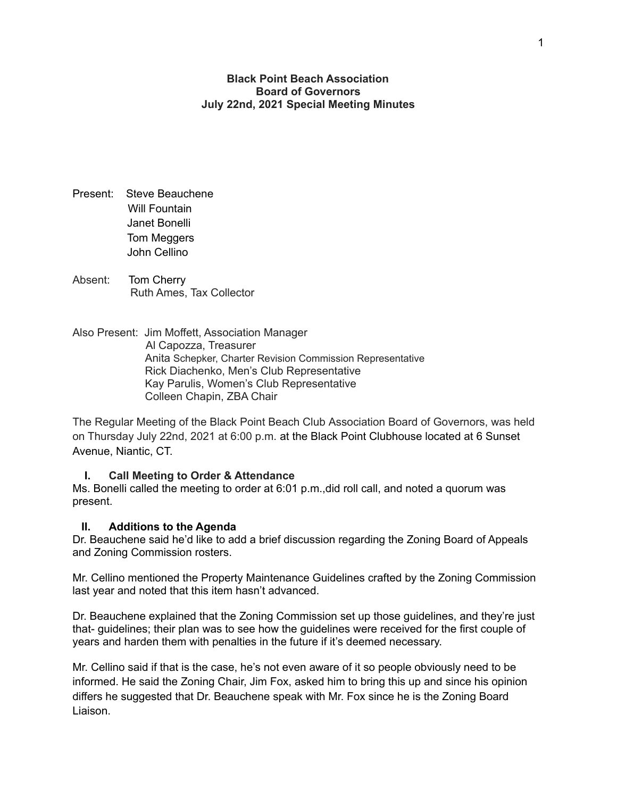**Black Point Beach Association Board of Governors July 22nd, 2021 Special Meeting Minutes**

- Present: Steve Beauchene Will Fountain Janet Bonelli Tom Meggers John Cellino
- Absent: Tom Cherry Ruth Ames, Tax Collector

Also Present: Jim Moffett, Association Manager Al Capozza, Treasurer Anita Schepker, Charter Revision Commission Representative Rick Diachenko, Men's Club Representative Kay Parulis, Women's Club Representative Colleen Chapin, ZBA Chair

The Regular Meeting of the Black Point Beach Club Association Board of Governors, was held on Thursday July 22nd, 2021 at 6:00 p.m. at the Black Point Clubhouse located at 6 Sunset Avenue, Niantic, CT.

#### **I. Call Meeting to Order & Attendance**

Ms. Bonelli called the meeting to order at 6:01 p.m.,did roll call, and noted a quorum was present.

#### **II. Additions to the Agenda**

Dr. Beauchene said he'd like to add a brief discussion regarding the Zoning Board of Appeals and Zoning Commission rosters.

Mr. Cellino mentioned the Property Maintenance Guidelines crafted by the Zoning Commission last year and noted that this item hasn't advanced.

Dr. Beauchene explained that the Zoning Commission set up those guidelines, and they're just that- guidelines; their plan was to see how the guidelines were received for the first couple of years and harden them with penalties in the future if it's deemed necessary.

Mr. Cellino said if that is the case, he's not even aware of it so people obviously need to be informed. He said the Zoning Chair, Jim Fox, asked him to bring this up and since his opinion differs he suggested that Dr. Beauchene speak with Mr. Fox since he is the Zoning Board Liaison.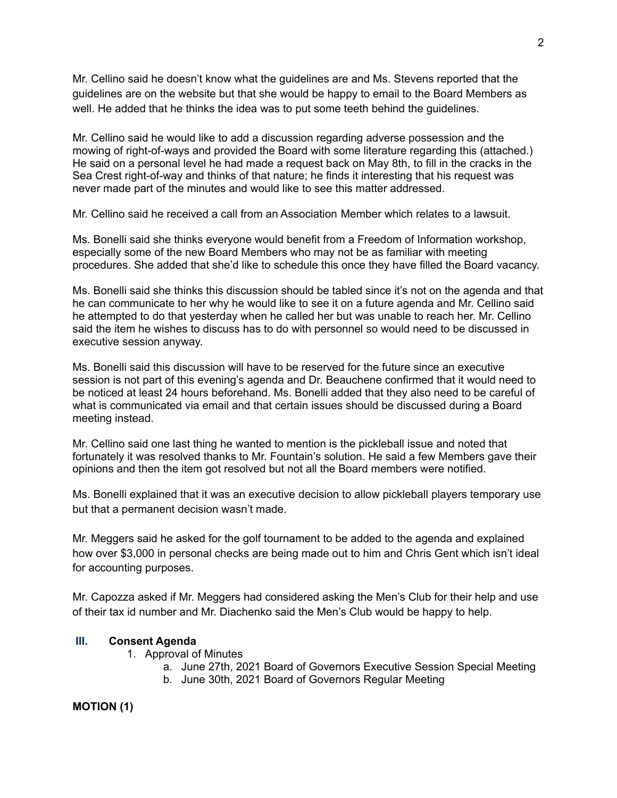Mr. Cellino said he doesn't know what the guidelines are and Ms. Stevens reported that the guidelines are on the website but that she would be happy to email to the Board Members as well. He added that he thinks the idea was to put some teeth behind the guidelines.

Mr. Cellino said he would like to add a discussion regarding adverse possession and the mowing of right-of-ways and provided the Board with some literature regarding this (attached.) He said on a personal level he had made a request back on May 8th, to fill in the cracks in the Sea Crest right-of-way and thinks of that nature; he finds it interesting that his request was never made part of the minutes and would like to see this matter addressed.

Mr. Cellino said he received a call from an Association Member which relates to a lawsuit.

Ms. Bonelli said she thinks everyone would benefit from a Freedom of Information workshop, especially some of the new Board Members who may not be as familiar with meeting procedures. She added that she'd like to schedule this once they have filled the Board vacancy.

Ms. Bonelli said she thinks this discussion should be tabled since it's not on the agenda and that he can communicate to her why he would like to see it on a future agenda and Mr. Cellino said he attempted to do that yesterday when he called her but was unable to reach her. Mr. Cellino said the item he wishes to discuss has to do with personnel so would need to be discussed in executive session anyway.

Ms. Bonelli said this discussion will have to be reserved for the future since an executive session is not part of this evening's agenda and Dr. Beauchene confirmed that it would need to be noticed at least 24 hours beforehand. Ms. Bonelli added that they also need to be careful of what is communicated via email and that certain issues should be discussed during a Board meeting instead.

Mr. Cellino said one last thing he wanted to mention is the pickleball issue and noted that fortunately it was resolved thanks to Mr. Fountain's solution. He said a few Members gave their opinions and then the item got resolved but not all the Board members were notified.

Ms. Bonelli explained that it was an executive decision to allow pickleball players temporary use but that a permanent decision wasn't made.

Mr. Meggers said he asked for the golf tournament to be added to the agenda and explained how over \$3,000 in personal checks are being made out to him and Chris Gent which isn't ideal for accounting purposes.

Mr. Capozza asked if Mr. Meggers had considered asking the Men's Club for their help and use of their tax id number and Mr. Diachenko said the Men's Club would be happy to help.

#### **III. Consent Agenda**

- 1. Approval of Minutes
	- a. June 27th, 2021 Board of Governors Executive Session Special Meeting
	- b. June 30th, 2021 Board of Governors Regular Meeting

**MOTION (1)**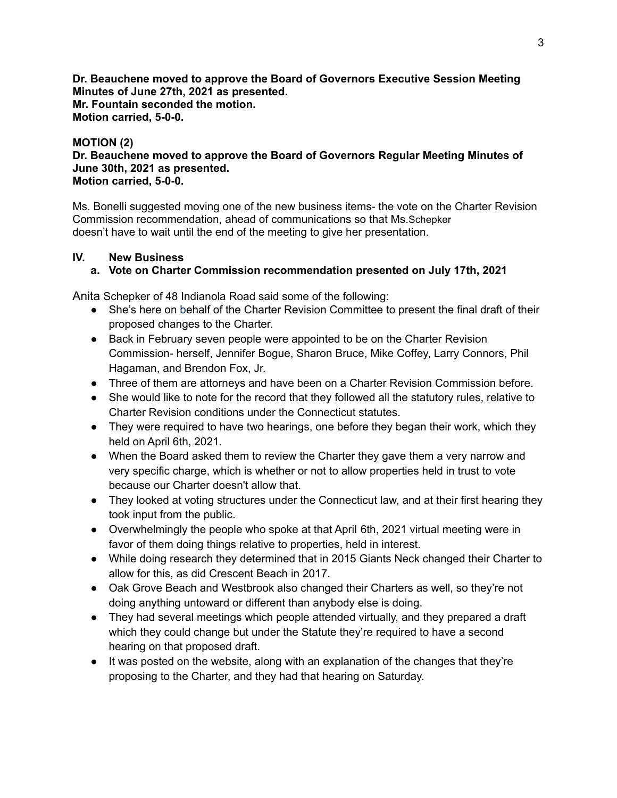**Dr. Beauchene moved to approve the Board of Governors Executive Session Meeting Minutes of June 27th, 2021 as presented. Mr. Fountain seconded the motion. Motion carried, 5-0-0.**

#### **MOTION (2)**

**Dr. Beauchene moved to approve the Board of Governors Regular Meeting Minutes of June 30th, 2021 as presented. Motion carried, 5-0-0.**

Ms. Bonelli suggested moving one of the new business items- the vote on the Charter Revision Commission recommendation, ahead of communications so that Ms.Schepker doesn't have to wait until the end of the meeting to give her presentation.

#### **IV. New Business**

#### **a. Vote on Charter Commission recommendation presented on July 17th, 2021**

Anita Schepker of 48 Indianola Road said some of the following:

- She's here on behalf of the Charter Revision Committee to present the final draft of their proposed changes to the Charter.
- Back in February seven people were appointed to be on the Charter Revision Commission- herself, Jennifer Bogue, Sharon Bruce, Mike Coffey, Larry Connors, Phil Hagaman, and Brendon Fox, Jr.
- Three of them are attorneys and have been on a Charter Revision Commission before.
- She would like to note for the record that they followed all the statutory rules, relative to Charter Revision conditions under the Connecticut statutes.
- They were required to have two hearings, one before they began their work, which they held on April 6th, 2021.
- When the Board asked them to review the Charter they gave them a very narrow and very specific charge, which is whether or not to allow properties held in trust to vote because our Charter doesn't allow that.
- They looked at voting structures under the Connecticut law, and at their first hearing they took input from the public.
- Overwhelmingly the people who spoke at that April 6th, 2021 virtual meeting were in favor of them doing things relative to properties, held in interest.
- While doing research they determined that in 2015 Giants Neck changed their Charter to allow for this, as did Crescent Beach in 2017.
- Oak Grove Beach and Westbrook also changed their Charters as well, so they're not doing anything untoward or different than anybody else is doing.
- They had several meetings which people attended virtually, and they prepared a draft which they could change but under the Statute they're required to have a second hearing on that proposed draft.
- It was posted on the website, along with an explanation of the changes that they're proposing to the Charter, and they had that hearing on Saturday.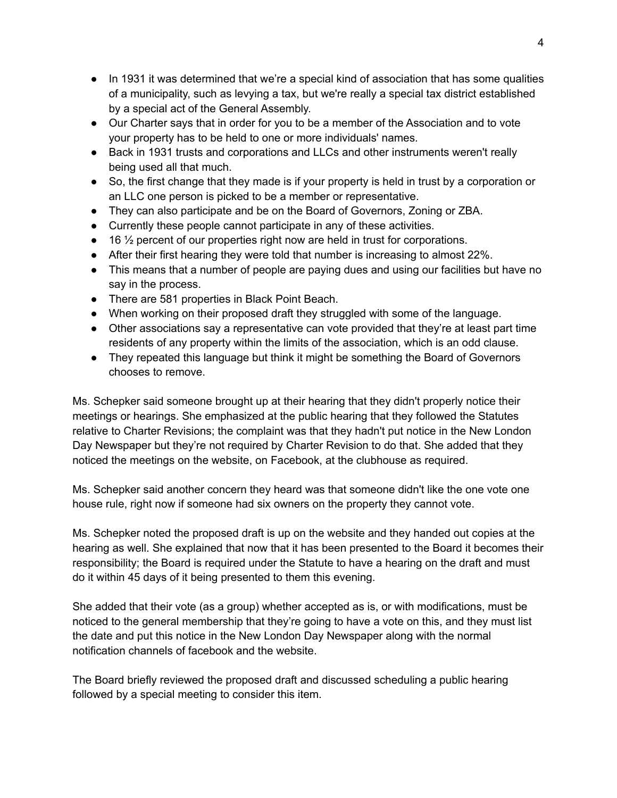- In 1931 it was determined that we're a special kind of association that has some qualities of a municipality, such as levying a tax, but we're really a special tax district established by a special act of the General Assembly.
- Our Charter says that in order for you to be a member of the Association and to vote your property has to be held to one or more individuals' names.
- Back in 1931 trusts and corporations and LLCs and other instruments weren't really being used all that much.
- So, the first change that they made is if your property is held in trust by a corporation or an LLC one person is picked to be a member or representative.
- They can also participate and be on the Board of Governors, Zoning or ZBA.
- Currently these people cannot participate in any of these activities.
- 16 ½ percent of our properties right now are held in trust for corporations.
- After their first hearing they were told that number is increasing to almost 22%.
- This means that a number of people are paying dues and using our facilities but have no say in the process.
- There are 581 properties in Black Point Beach.
- When working on their proposed draft they struggled with some of the language.
- Other associations say a representative can vote provided that they're at least part time residents of any property within the limits of the association, which is an odd clause.
- They repeated this language but think it might be something the Board of Governors chooses to remove.

Ms. Schepker said someone brought up at their hearing that they didn't properly notice their meetings or hearings. She emphasized at the public hearing that they followed the Statutes relative to Charter Revisions; the complaint was that they hadn't put notice in the New London Day Newspaper but they're not required by Charter Revision to do that. She added that they noticed the meetings on the website, on Facebook, at the clubhouse as required.

Ms. Schepker said another concern they heard was that someone didn't like the one vote one house rule, right now if someone had six owners on the property they cannot vote.

Ms. Schepker noted the proposed draft is up on the website and they handed out copies at the hearing as well. She explained that now that it has been presented to the Board it becomes their responsibility; the Board is required under the Statute to have a hearing on the draft and must do it within 45 days of it being presented to them this evening.

She added that their vote (as a group) whether accepted as is, or with modifications, must be noticed to the general membership that they're going to have a vote on this, and they must list the date and put this notice in the New London Day Newspaper along with the normal notification channels of facebook and the website.

The Board briefly reviewed the proposed draft and discussed scheduling a public hearing followed by a special meeting to consider this item.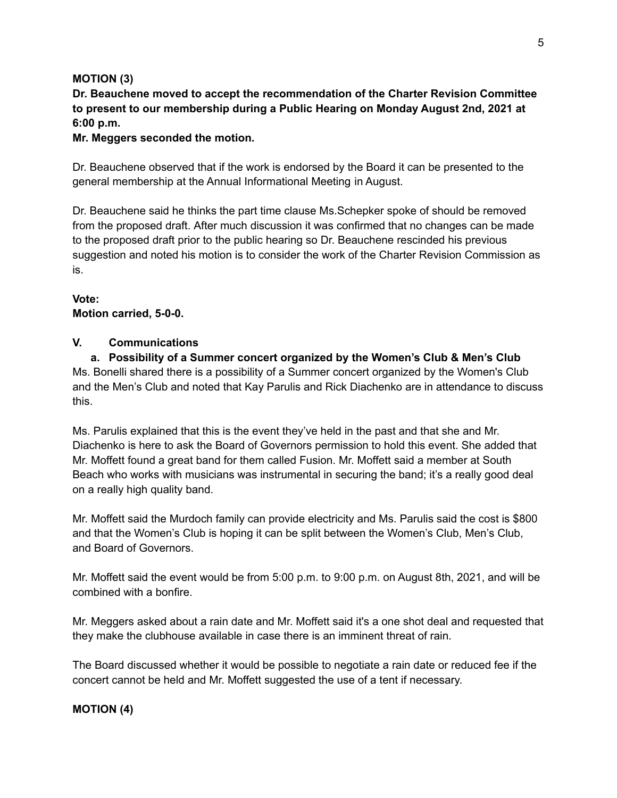### **MOTION (3)**

**Dr. Beauchene moved to accept the recommendation of the Charter Revision Committee to present to our membership during a Public Hearing on Monday August 2nd, 2021 at 6:00 p.m.**

#### **Mr. Meggers seconded the motion.**

Dr. Beauchene observed that if the work is endorsed by the Board it can be presented to the general membership at the Annual Informational Meeting in August.

Dr. Beauchene said he thinks the part time clause Ms.Schepker spoke of should be removed from the proposed draft. After much discussion it was confirmed that no changes can be made to the proposed draft prior to the public hearing so Dr. Beauchene rescinded his previous suggestion and noted his motion is to consider the work of the Charter Revision Commission as is.

#### **Vote: Motion carried, 5-0-0.**

### **V. Communications**

**a. Possibility of a Summer concert organized by the Women's Club & Men's Club** Ms. Bonelli shared there is a possibility of a Summer concert organized by the Women's Club and the Men's Club and noted that Kay Parulis and Rick Diachenko are in attendance to discuss this.

Ms. Parulis explained that this is the event they've held in the past and that she and Mr. Diachenko is here to ask the Board of Governors permission to hold this event. She added that Mr. Moffett found a great band for them called Fusion. Mr. Moffett said a member at South Beach who works with musicians was instrumental in securing the band; it's a really good deal on a really high quality band.

Mr. Moffett said the Murdoch family can provide electricity and Ms. Parulis said the cost is \$800 and that the Women's Club is hoping it can be split between the Women's Club, Men's Club, and Board of Governors.

Mr. Moffett said the event would be from 5:00 p.m. to 9:00 p.m. on August 8th, 2021, and will be combined with a bonfire.

Mr. Meggers asked about a rain date and Mr. Moffett said it's a one shot deal and requested that they make the clubhouse available in case there is an imminent threat of rain.

The Board discussed whether it would be possible to negotiate a rain date or reduced fee if the concert cannot be held and Mr. Moffett suggested the use of a tent if necessary.

## **MOTION (4)**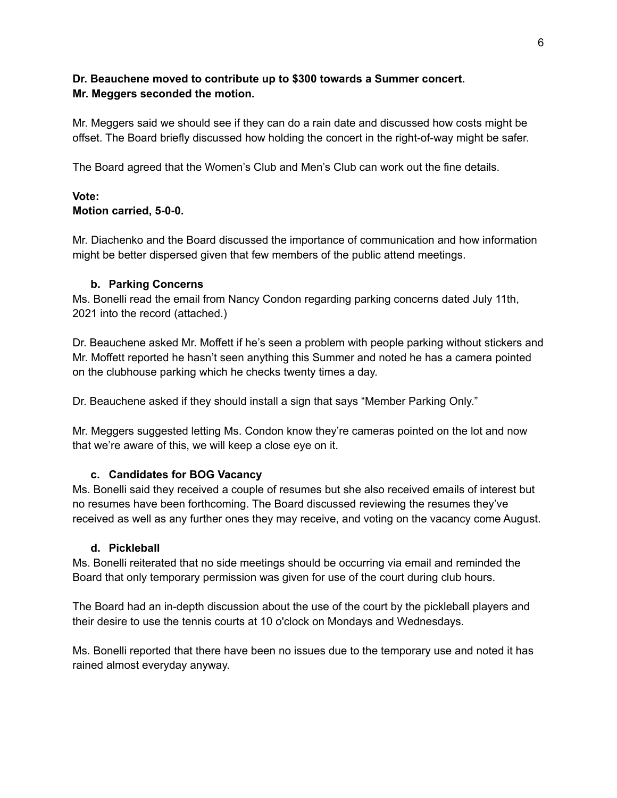### **Dr. Beauchene moved to contribute up to \$300 towards a Summer concert. Mr. Meggers seconded the motion.**

Mr. Meggers said we should see if they can do a rain date and discussed how costs might be offset. The Board briefly discussed how holding the concert in the right-of-way might be safer.

The Board agreed that the Women's Club and Men's Club can work out the fine details.

#### **Vote: Motion carried, 5-0-0.**

Mr. Diachenko and the Board discussed the importance of communication and how information might be better dispersed given that few members of the public attend meetings.

### **b. Parking Concerns**

Ms. Bonelli read the email from Nancy Condon regarding parking concerns dated July 11th, 2021 into the record (attached.)

Dr. Beauchene asked Mr. Moffett if he's seen a problem with people parking without stickers and Mr. Moffett reported he hasn't seen anything this Summer and noted he has a camera pointed on the clubhouse parking which he checks twenty times a day.

Dr. Beauchene asked if they should install a sign that says "Member Parking Only."

Mr. Meggers suggested letting Ms. Condon know they're cameras pointed on the lot and now that we're aware of this, we will keep a close eye on it.

## **c. Candidates for BOG Vacancy**

Ms. Bonelli said they received a couple of resumes but she also received emails of interest but no resumes have been forthcoming. The Board discussed reviewing the resumes they've received as well as any further ones they may receive, and voting on the vacancy come August.

#### **d. Pickleball**

Ms. Bonelli reiterated that no side meetings should be occurring via email and reminded the Board that only temporary permission was given for use of the court during club hours.

The Board had an in-depth discussion about the use of the court by the pickleball players and their desire to use the tennis courts at 10 o'clock on Mondays and Wednesdays.

Ms. Bonelli reported that there have been no issues due to the temporary use and noted it has rained almost everyday anyway.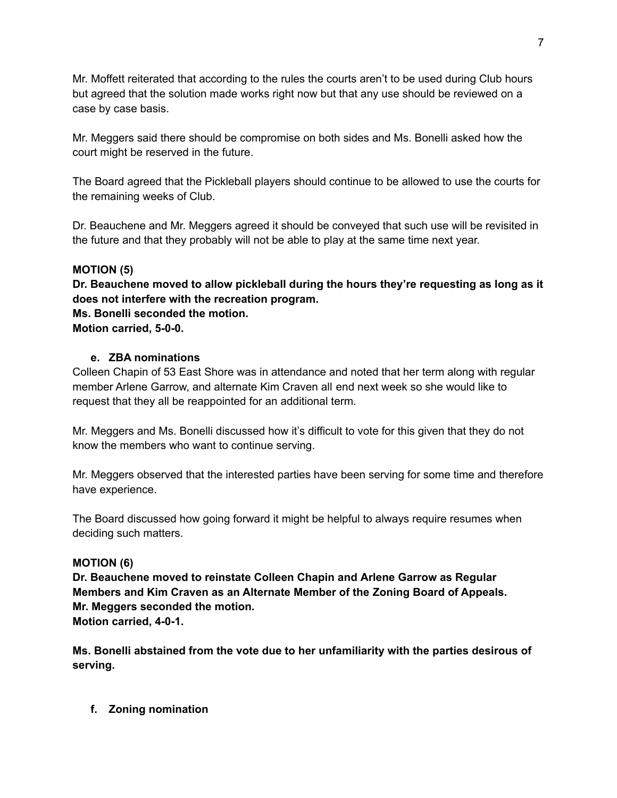Mr. Moffett reiterated that according to the rules the courts aren't to be used during Club hours but agreed that the solution made works right now but that any use should be reviewed on a case by case basis.

Mr. Meggers said there should be compromise on both sides and Ms. Bonelli asked how the court might be reserved in the future.

The Board agreed that the Pickleball players should continue to be allowed to use the courts for the remaining weeks of Club.

Dr. Beauchene and Mr. Meggers agreed it should be conveyed that such use will be revisited in the future and that they probably will not be able to play at the same time next year.

## **MOTION (5)**

**Dr. Beauchene moved to allow pickleball during the hours they're requesting as long as it does not interfere with the recreation program. Ms. Bonelli seconded the motion.**

**Motion carried, 5-0-0.**

## **e. ZBA nominations**

Colleen Chapin of 53 East Shore was in attendance and noted that her term along with regular member Arlene Garrow, and alternate Kim Craven all end next week so she would like to request that they all be reappointed for an additional term.

Mr. Meggers and Ms. Bonelli discussed how it's difficult to vote for this given that they do not know the members who want to continue serving.

Mr. Meggers observed that the interested parties have been serving for some time and therefore have experience.

The Board discussed how going forward it might be helpful to always require resumes when deciding such matters.

## **MOTION (6)**

**Dr. Beauchene moved to reinstate Colleen Chapin and Arlene Garrow as Regular Members and Kim Craven as an Alternate Member of the Zoning Board of Appeals. Mr. Meggers seconded the motion. Motion carried, 4-0-1.**

**Ms. Bonelli abstained from the vote due to her unfamiliarity with the parties desirous of serving.**

**f. Zoning nomination**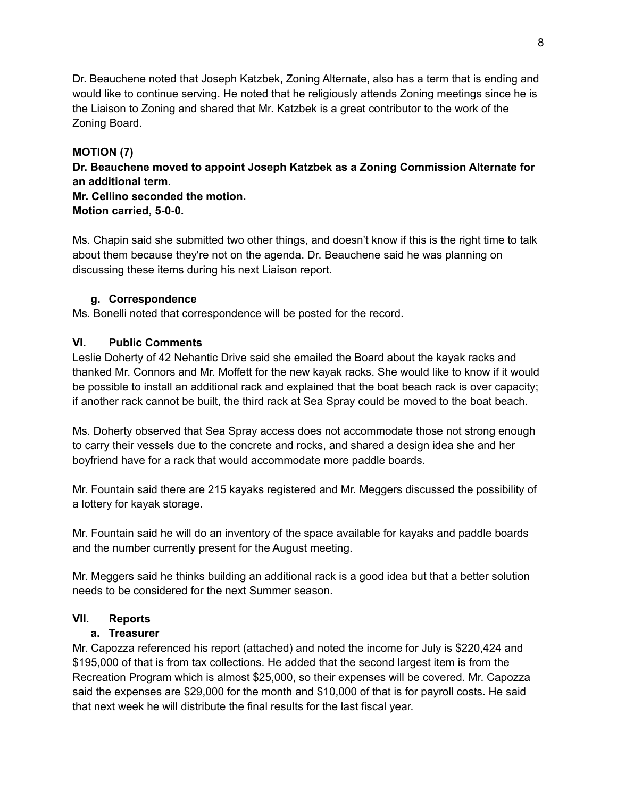Dr. Beauchene noted that Joseph Katzbek, Zoning Alternate, also has a term that is ending and would like to continue serving. He noted that he religiously attends Zoning meetings since he is the Liaison to Zoning and shared that Mr. Katzbek is a great contributor to the work of the Zoning Board.

## **MOTION (7)**

**Dr. Beauchene moved to appoint Joseph Katzbek as a Zoning Commission Alternate for an additional term.**

**Mr. Cellino seconded the motion. Motion carried, 5-0-0.**

Ms. Chapin said she submitted two other things, and doesn't know if this is the right time to talk about them because they're not on the agenda. Dr. Beauchene said he was planning on discussing these items during his next Liaison report.

## **g. Correspondence**

Ms. Bonelli noted that correspondence will be posted for the record.

# **VI. Public Comments**

Leslie Doherty of 42 Nehantic Drive said she emailed the Board about the kayak racks and thanked Mr. Connors and Mr. Moffett for the new kayak racks. She would like to know if it would be possible to install an additional rack and explained that the boat beach rack is over capacity; if another rack cannot be built, the third rack at Sea Spray could be moved to the boat beach.

Ms. Doherty observed that Sea Spray access does not accommodate those not strong enough to carry their vessels due to the concrete and rocks, and shared a design idea she and her boyfriend have for a rack that would accommodate more paddle boards.

Mr. Fountain said there are 215 kayaks registered and Mr. Meggers discussed the possibility of a lottery for kayak storage.

Mr. Fountain said he will do an inventory of the space available for kayaks and paddle boards and the number currently present for the August meeting.

Mr. Meggers said he thinks building an additional rack is a good idea but that a better solution needs to be considered for the next Summer season.

# **VII. Reports**

## **a. Treasurer**

Mr. Capozza referenced his report (attached) and noted the income for July is \$220,424 and \$195,000 of that is from tax collections. He added that the second largest item is from the Recreation Program which is almost \$25,000, so their expenses will be covered. Mr. Capozza said the expenses are \$29,000 for the month and \$10,000 of that is for payroll costs. He said that next week he will distribute the final results for the last fiscal year.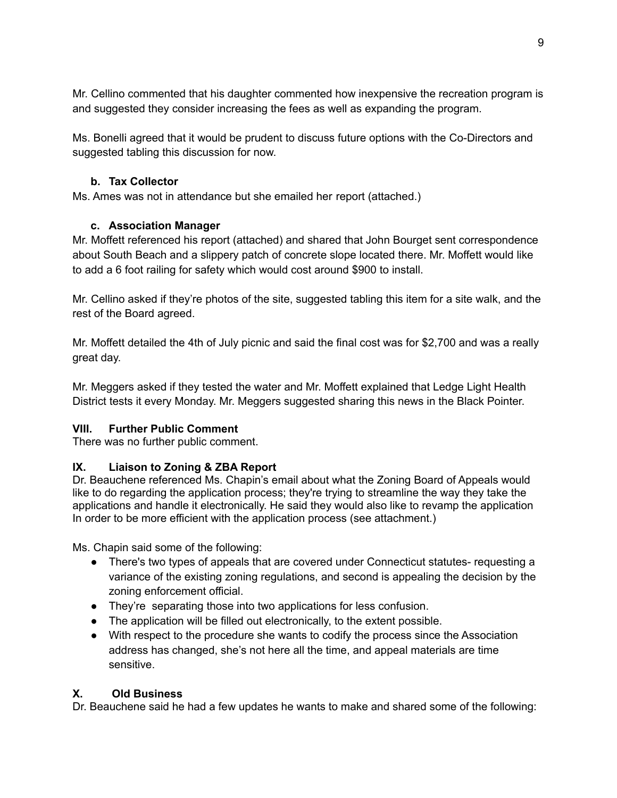Mr. Cellino commented that his daughter commented how inexpensive the recreation program is and suggested they consider increasing the fees as well as expanding the program.

Ms. Bonelli agreed that it would be prudent to discuss future options with the Co-Directors and suggested tabling this discussion for now.

## **b. Tax Collector**

Ms. Ames was not in attendance but she emailed her report (attached.)

## **c. Association Manager**

Mr. Moffett referenced his report (attached) and shared that John Bourget sent correspondence about South Beach and a slippery patch of concrete slope located there. Mr. Moffett would like to add a 6 foot railing for safety which would cost around \$900 to install.

Mr. Cellino asked if they're photos of the site, suggested tabling this item for a site walk, and the rest of the Board agreed.

Mr. Moffett detailed the 4th of July picnic and said the final cost was for \$2,700 and was a really great day.

Mr. Meggers asked if they tested the water and Mr. Moffett explained that Ledge Light Health District tests it every Monday. Mr. Meggers suggested sharing this news in the Black Pointer.

## **VIII. Further Public Comment**

There was no further public comment.

# **IX. Liaison to Zoning & ZBA Report**

Dr. Beauchene referenced Ms. Chapin's email about what the Zoning Board of Appeals would like to do regarding the application process; they're trying to streamline the way they take the applications and handle it electronically. He said they would also like to revamp the application In order to be more efficient with the application process (see attachment.)

Ms. Chapin said some of the following:

- There's two types of appeals that are covered under Connecticut statutes- requesting a variance of the existing zoning regulations, and second is appealing the decision by the zoning enforcement official.
- They're separating those into two applications for less confusion.
- The application will be filled out electronically, to the extent possible.
- With respect to the procedure she wants to codify the process since the Association address has changed, she's not here all the time, and appeal materials are time sensitive.

# **X. Old Business**

Dr. Beauchene said he had a few updates he wants to make and shared some of the following: